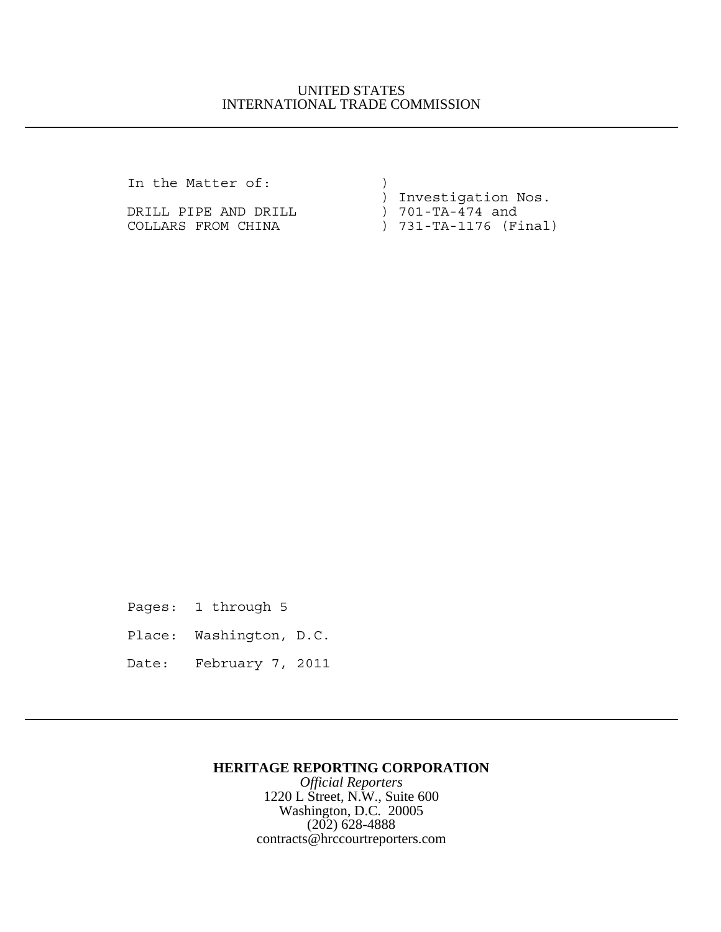## UNITED STATES INTERNATIONAL TRADE COMMISSION

In the Matter of:  $)$ 

DRILL PIPE AND DRILL COLLARS FROM CHINA ) 731-TA-1176 (Final)

) Investigation Nos.

Pages: 1 through 5

Place: Washington, D.C.

Date: February 7, 2011

## **HERITAGE REPORTING CORPORATION**

*Official Reporters* 1220 L Street, N.W., Suite 600 Washington, D.C. 20005 (202) 628-4888 contracts@hrccourtreporters.com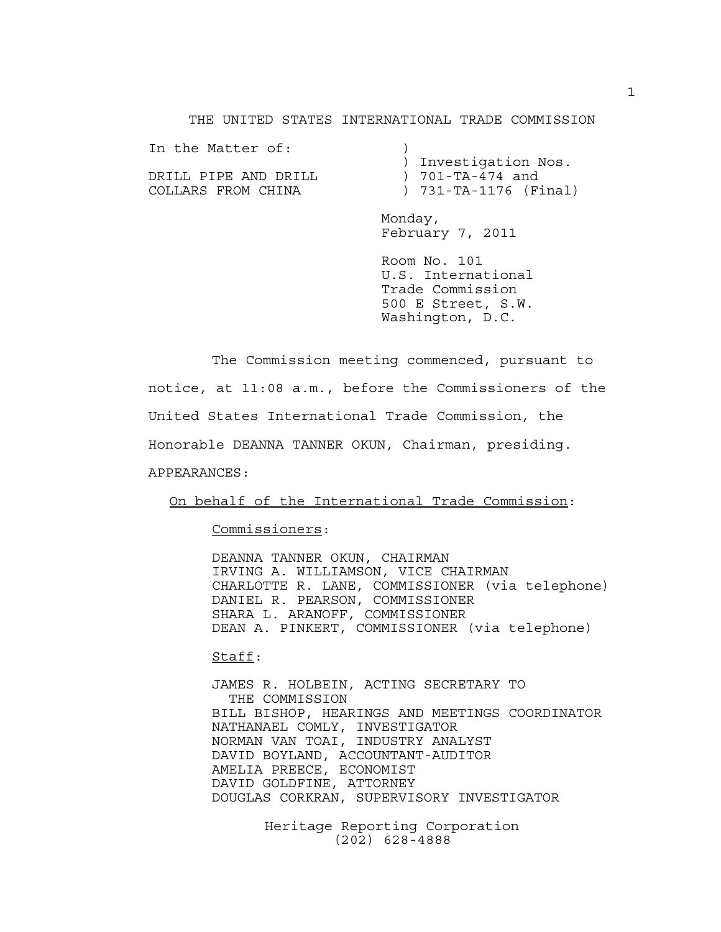THE UNITED STATES INTERNATIONAL TRADE COMMISSION

In the Matter of:  $)$  ) Investigation Nos. DRILL PIPE AND DRILL ) 701-TA-474 and COLLARS FROM CHINA ) 731-TA-1176 (Final)

> Monday, February 7, 2011

Room No. 101 U.S. International Trade Commission 500 E Street, S.W. Washington, D.C.

The Commission meeting commenced, pursuant to notice, at 11:08 a.m., before the Commissioners of the United States International Trade Commission, the Honorable DEANNA TANNER OKUN, Chairman, presiding. APPEARANCES:

On behalf of the International Trade Commission:

Commissioners:

DEANNA TANNER OKUN, CHAIRMAN IRVING A. WILLIAMSON, VICE CHAIRMAN CHARLOTTE R. LANE, COMMISSIONER (via telephone) DANIEL R. PEARSON, COMMISSIONER SHARA L. ARANOFF, COMMISSIONER DEAN A. PINKERT, COMMISSIONER (via telephone)

Staff:

JAMES R. HOLBEIN, ACTING SECRETARY TO THE COMMISSION BILL BISHOP, HEARINGS AND MEETINGS COORDINATOR NATHANAEL COMLY, INVESTIGATOR NORMAN VAN TOAI, INDUSTRY ANALYST DAVID BOYLAND, ACCOUNTANT-AUDITOR AMELIA PREECE, ECONOMIST DAVID GOLDFINE, ATTORNEY DOUGLAS CORKRAN, SUPERVISORY INVESTIGATOR

> Heritage Reporting Corporation (202) 628-4888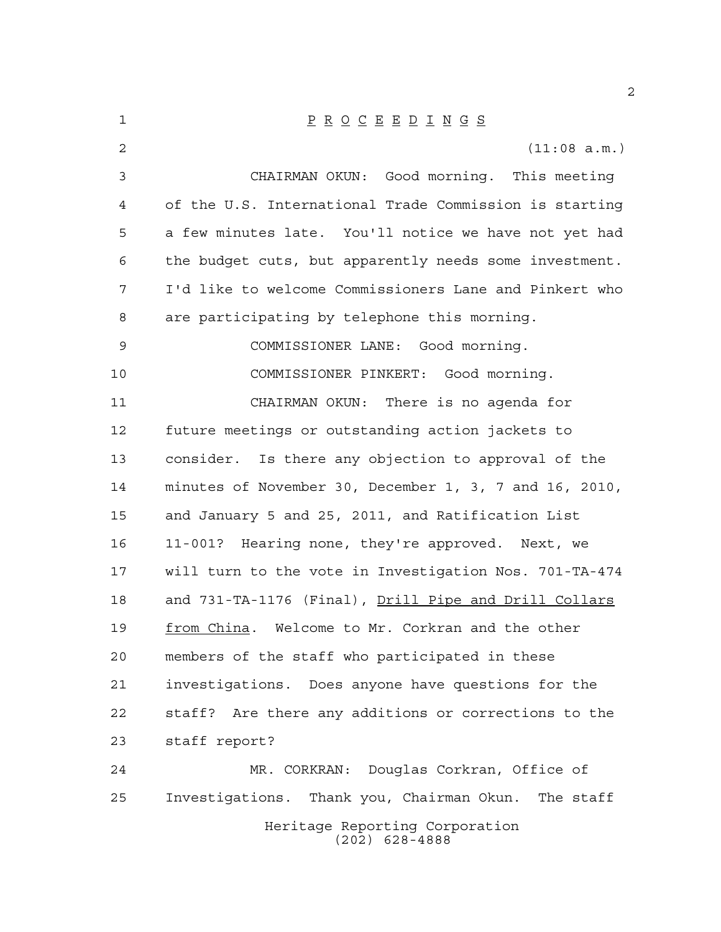| 1  | $\underline{P} \underline{R} \underline{O} \underline{C} \underline{E} \underline{E} \underline{D} \underline{I} \underline{N} \underline{G} \underline{S}$ |
|----|-------------------------------------------------------------------------------------------------------------------------------------------------------------|
| 2  | (11:08 a.m.)                                                                                                                                                |
| 3  | CHAIRMAN OKUN: Good morning. This meeting                                                                                                                   |
| 4  | of the U.S. International Trade Commission is starting                                                                                                      |
| 5  | a few minutes late. You'll notice we have not yet had                                                                                                       |
| 6  | the budget cuts, but apparently needs some investment.                                                                                                      |
| 7  | I'd like to welcome Commissioners Lane and Pinkert who                                                                                                      |
| 8  | are participating by telephone this morning.                                                                                                                |
| 9  | COMMISSIONER LANE: Good morning.                                                                                                                            |
| 10 | COMMISSIONER PINKERT: Good morning.                                                                                                                         |
| 11 | CHAIRMAN OKUN: There is no agenda for                                                                                                                       |
| 12 | future meetings or outstanding action jackets to                                                                                                            |
| 13 | consider. Is there any objection to approval of the                                                                                                         |
| 14 | minutes of November 30, December 1, 3, 7 and 16, 2010,                                                                                                      |
| 15 | and January 5 and 25, 2011, and Ratification List                                                                                                           |
| 16 | 11-001? Hearing none, they're approved. Next, we                                                                                                            |
| 17 | will turn to the vote in Investigation Nos. 701-TA-474                                                                                                      |
| 18 | and 731-TA-1176 (Final), Drill Pipe and Drill Collars                                                                                                       |
| 19 | from China. Welcome to Mr. Corkran and the other                                                                                                            |
| 20 | members of the staff who participated in these                                                                                                              |
| 21 | investigations. Does anyone have questions for the                                                                                                          |
| 22 | staff? Are there any additions or corrections to the                                                                                                        |
| 23 | staff report?                                                                                                                                               |
| 24 | MR. CORKRAN: Douglas Corkran, Office of                                                                                                                     |
| 25 | Investigations. Thank you, Chairman Okun.<br>The staff                                                                                                      |
|    | Heritage Reporting Corporation<br>$(202)$ 628-4888                                                                                                          |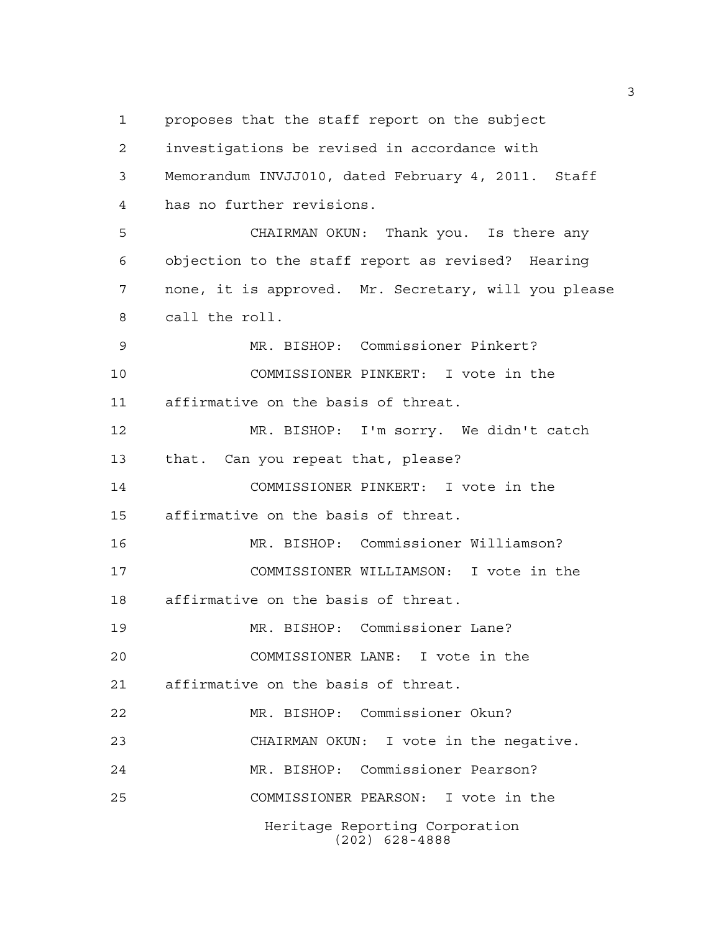proposes that the staff report on the subject investigations be revised in accordance with Memorandum INVJJ010, dated February 4, 2011. Staff has no further revisions. CHAIRMAN OKUN: Thank you. Is there any objection to the staff report as revised? Hearing none, it is approved. Mr. Secretary, will you please call the roll. MR. BISHOP: Commissioner Pinkert? COMMISSIONER PINKERT: I vote in the affirmative on the basis of threat. MR. BISHOP: I'm sorry. We didn't catch that. Can you repeat that, please? COMMISSIONER PINKERT: I vote in the affirmative on the basis of threat. MR. BISHOP: Commissioner Williamson? COMMISSIONER WILLIAMSON: I vote in the affirmative on the basis of threat. MR. BISHOP: Commissioner Lane? COMMISSIONER LANE: I vote in the affirmative on the basis of threat. MR. BISHOP: Commissioner Okun? CHAIRMAN OKUN: I vote in the negative. MR. BISHOP: Commissioner Pearson? COMMISSIONER PEARSON: I vote in the Heritage Reporting Corporation

(202) 628-4888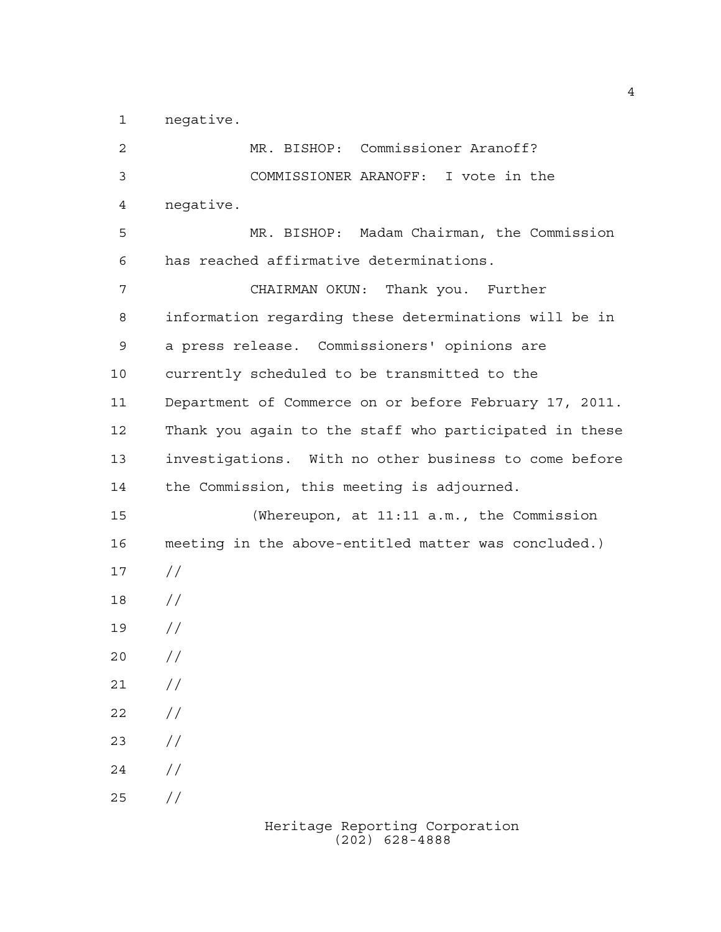negative.

 MR. BISHOP: Commissioner Aranoff? COMMISSIONER ARANOFF: I vote in the negative. MR. BISHOP: Madam Chairman, the Commission has reached affirmative determinations. CHAIRMAN OKUN: Thank you. Further information regarding these determinations will be in a press release. Commissioners' opinions are currently scheduled to be transmitted to the Department of Commerce on or before February 17, 2011. Thank you again to the staff who participated in these investigations. With no other business to come before the Commission, this meeting is adjourned. (Whereupon, at 11:11 a.m., the Commission meeting in the above-entitled matter was concluded.) // // //  $20 /$  $21 /$  $22 / /$  $23 / /$  $24 /$  $25 / /$ 

> Heritage Reporting Corporation (202) 628-4888